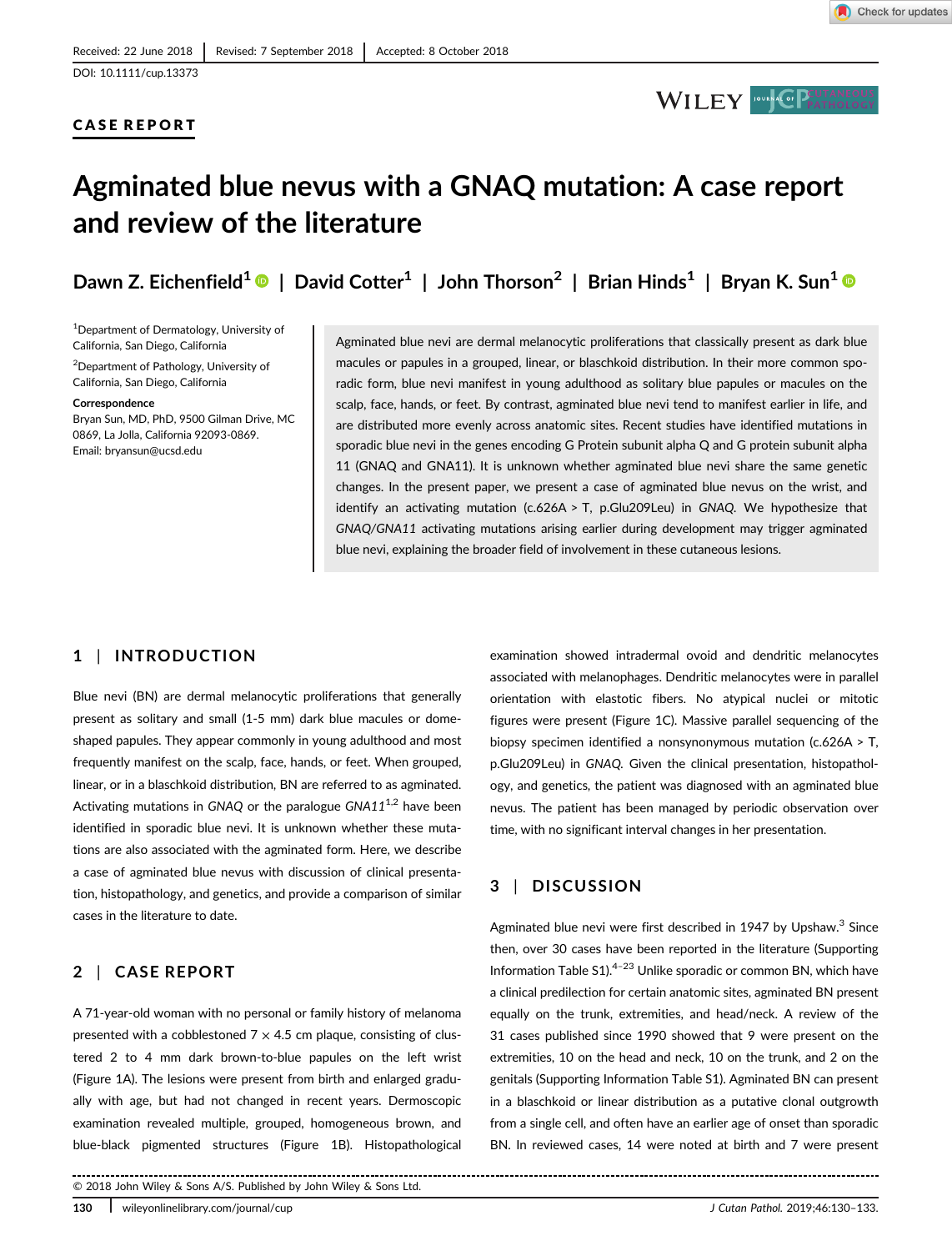## CASE REPORT



# Agminated blue nevus with a GNAQ mutation: A case report and review of the literature

Dawn Z. Eichenfield<sup>1</sup>  $\bullet$  | David Cotter<sup>1</sup> | John Thorson<sup>2</sup> | Brian Hinds<sup>1</sup> | Bryan K. Sun<sup>1</sup>  $\bullet$ 

<sup>1</sup>Department of Dermatology, University of California, San Diego, California 2 Department of Pathology, University of California, San Diego, California

#### Correspondence

Bryan Sun, MD, PhD, 9500 Gilman Drive, MC 0869, La Jolla, California 92093-0869. Email: [bryansun@ucsd.edu](mailto:bryansun@ucsd.edu)

Agminated blue nevi are dermal melanocytic proliferations that classically present as dark blue macules or papules in a grouped, linear, or blaschkoid distribution. In their more common sporadic form, blue nevi manifest in young adulthood as solitary blue papules or macules on the scalp, face, hands, or feet. By contrast, agminated blue nevi tend to manifest earlier in life, and are distributed more evenly across anatomic sites. Recent studies have identified mutations in sporadic blue nevi in the genes encoding G Protein subunit alpha Q and G protein subunit alpha 11 (GNAQ and GNA11). It is unknown whether agminated blue nevi share the same genetic changes. In the present paper, we present a case of agminated blue nevus on the wrist, and identify an activating mutation ( $c.626A > T$ , p.Glu209Leu) in GNAQ. We hypothesize that GNAQ/GNA11 activating mutations arising earlier during development may trigger agminated blue nevi, explaining the broader field of involvement in these cutaneous lesions.

## 1 | INTRODUCTION

Blue nevi (BN) are dermal melanocytic proliferations that generally present as solitary and small (1-5 mm) dark blue macules or domeshaped papules. They appear commonly in young adulthood and most frequently manifest on the scalp, face, hands, or feet. When grouped, linear, or in a blaschkoid distribution, BN are referred to as agminated. Activating mutations in GNAQ or the paralogue  $GNA11^{1,2}$  have been identified in sporadic blue nevi. It is unknown whether these mutations are also associated with the agminated form. Here, we describe a case of agminated blue nevus with discussion of clinical presentation, histopathology, and genetics, and provide a comparison of similar cases in the literature to date.

# 2 | CASE REPORT

A 71-year-old woman with no personal or family history of melanoma presented with a cobblestoned  $7 \times 4.5$  cm plaque, consisting of clustered 2 to 4 mm dark brown-to-blue papules on the left wrist (Figure 1A). The lesions were present from birth and enlarged gradually with age, but had not changed in recent years. Dermoscopic examination revealed multiple, grouped, homogeneous brown, and blue-black pigmented structures (Figure 1B). Histopathological

© 2018 John Wiley & Sons A/S. Published by John Wiley & Sons Ltd.

examination showed intradermal ovoid and dendritic melanocytes associated with melanophages. Dendritic melanocytes were in parallel orientation with elastotic fibers. No atypical nuclei or mitotic figures were present (Figure 1C). Massive parallel sequencing of the biopsy specimen identified a nonsynonymous mutation (c.626A > T, p.Glu209Leu) in GNAQ. Given the clinical presentation, histopathology, and genetics, the patient was diagnosed with an agminated blue nevus. The patient has been managed by periodic observation over time, with no significant interval changes in her presentation.

# 3 | DISCUSSION

Agminated blue nevi were first described in 1947 by Upshaw.<sup>3</sup> Since then, over 30 cases have been reported in the literature (Supporting Information Table  $51$ <sup>4-23</sup> Unlike sporadic or common BN, which have a clinical predilection for certain anatomic sites, agminated BN present equally on the trunk, extremities, and head/neck. A review of the 31 cases published since 1990 showed that 9 were present on the extremities, 10 on the head and neck, 10 on the trunk, and 2 on the genitals (Supporting Information Table S1). Agminated BN can present in a blaschkoid or linear distribution as a putative clonal outgrowth from a single cell, and often have an earlier age of onset than sporadic BN. In reviewed cases, 14 were noted at birth and 7 were present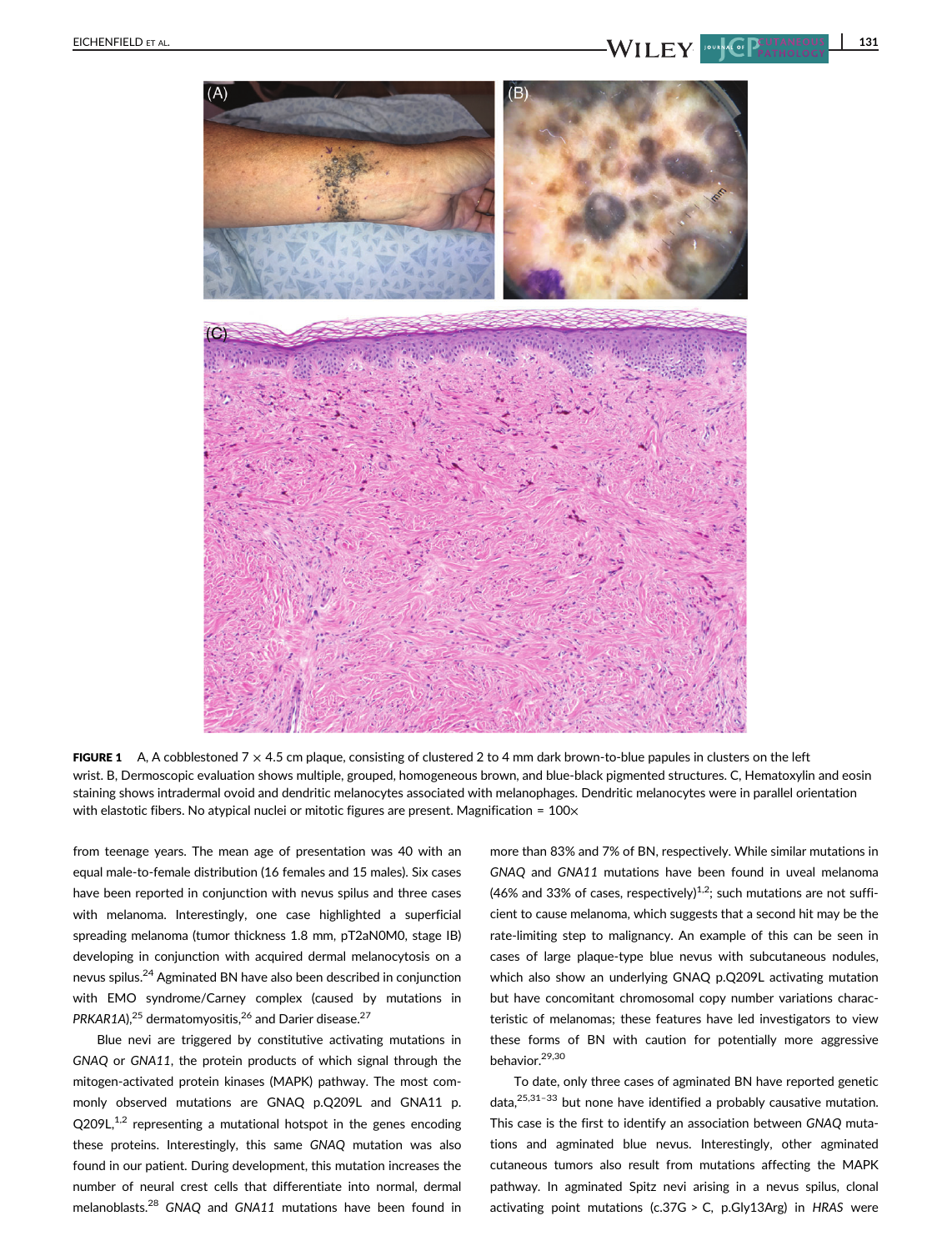

FIGURE 1 A, A cobblestoned  $7 \times 4.5$  cm plaque, consisting of clustered 2 to 4 mm dark brown-to-blue papules in clusters on the left wrist. B, Dermoscopic evaluation shows multiple, grouped, homogeneous brown, and blue-black pigmented structures. C, Hematoxylin and eosin staining shows intradermal ovoid and dendritic melanocytes associated with melanophages. Dendritic melanocytes were in parallel orientation with elastotic fibers. No atypical nuclei or mitotic figures are present. Magnification =  $100 \times$ 

from teenage years. The mean age of presentation was 40 with an equal male-to-female distribution (16 females and 15 males). Six cases have been reported in conjunction with nevus spilus and three cases with melanoma. Interestingly, one case highlighted a superficial spreading melanoma (tumor thickness 1.8 mm, pT2aN0M0, stage IB) developing in conjunction with acquired dermal melanocytosis on a nevus spilus.24 Agminated BN have also been described in conjunction with EMO syndrome/Carney complex (caused by mutations in PRKAR1A), $^{25}$  dermatomyositis, $^{26}$  and Darier disease. $^{27}$ 

Blue nevi are triggered by constitutive activating mutations in GNAQ or GNA11, the protein products of which signal through the mitogen-activated protein kinases (MAPK) pathway. The most commonly observed mutations are GNAQ p.Q209L and GNA11 p.  $Q209L$ ,<sup>1,2</sup> representing a mutational hotspot in the genes encoding these proteins. Interestingly, this same GNAQ mutation was also found in our patient. During development, this mutation increases the number of neural crest cells that differentiate into normal, dermal melanoblasts.<sup>28</sup> GNAQ and GNA11 mutations have been found in more than 83% and 7% of BN, respectively. While similar mutations in GNAQ and GNA11 mutations have been found in uveal melanoma (46% and 33% of cases, respectively)<sup>1,2</sup>; such mutations are not sufficient to cause melanoma, which suggests that a second hit may be the rate-limiting step to malignancy. An example of this can be seen in cases of large plaque-type blue nevus with subcutaneous nodules, which also show an underlying GNAQ p.Q209L activating mutation but have concomitant chromosomal copy number variations characteristic of melanomas; these features have led investigators to view these forms of BN with caution for potentially more aggressive behavior.29,30

To date, only three cases of agminated BN have reported genetic data, $25,31-33$  but none have identified a probably causative mutation. This case is the first to identify an association between GNAQ mutations and agminated blue nevus. Interestingly, other agminated cutaneous tumors also result from mutations affecting the MAPK pathway. In agminated Spitz nevi arising in a nevus spilus, clonal activating point mutations (c.37G > C, p.Gly13Arg) in HRAS were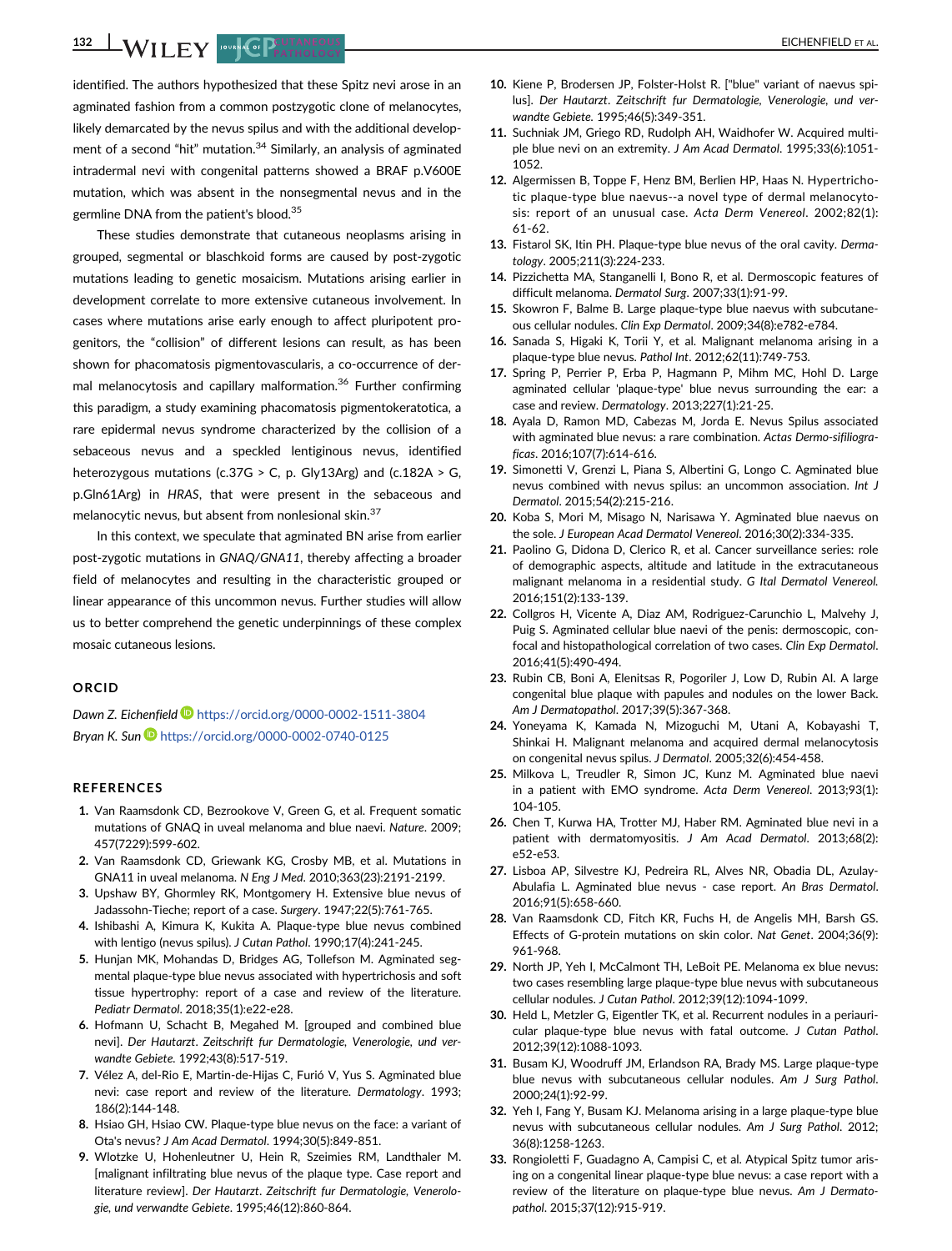132 WILEY POUNCE PLATHOLOGY

identified. The authors hypothesized that these Spitz nevi arose in an agminated fashion from a common postzygotic clone of melanocytes, likely demarcated by the nevus spilus and with the additional development of a second "hit" mutation.<sup>34</sup> Similarly, an analysis of agminated intradermal nevi with congenital patterns showed a BRAF p.V600E mutation, which was absent in the nonsegmental nevus and in the germline DNA from the patient's blood.<sup>35</sup>

These studies demonstrate that cutaneous neoplasms arising in grouped, segmental or blaschkoid forms are caused by post-zygotic mutations leading to genetic mosaicism. Mutations arising earlier in development correlate to more extensive cutaneous involvement. In cases where mutations arise early enough to affect pluripotent progenitors, the "collision" of different lesions can result, as has been shown for phacomatosis pigmentovascularis, a co-occurrence of dermal melanocytosis and capillary malformation.<sup>36</sup> Further confirming this paradigm, a study examining phacomatosis pigmentokeratotica, a rare epidermal nevus syndrome characterized by the collision of a sebaceous nevus and a speckled lentiginous nevus, identified heterozygous mutations (c.37G > C, p. Gly13Arg) and (c.182A > G, p.Gln61Arg) in HRAS, that were present in the sebaceous and melanocytic nevus, but absent from nonlesional skin.<sup>37</sup>

In this context, we speculate that agminated BN arise from earlier post-zygotic mutations in GNAQ/GNA11, thereby affecting a broader field of melanocytes and resulting in the characteristic grouped or linear appearance of this uncommon nevus. Further studies will allow us to better comprehend the genetic underpinnings of these complex mosaic cutaneous lesions.

### ORCID

Dawn Z. Eichenfield <https://orcid.org/0000-0002-1511-3804> Bryan K. Sun D<https://orcid.org/0000-0002-0740-0125>

#### **REFERENCES**

- 1. Van Raamsdonk CD, Bezrookove V, Green G, et al. Frequent somatic mutations of GNAQ in uveal melanoma and blue naevi. Nature. 2009; 457(7229):599-602.
- 2. Van Raamsdonk CD, Griewank KG, Crosby MB, et al. Mutations in GNA11 in uveal melanoma. N Eng J Med. 2010;363(23):2191-2199.
- 3. Upshaw BY, Ghormley RK, Montgomery H. Extensive blue nevus of Jadassohn-Tieche; report of a case. Surgery. 1947;22(5):761-765.
- 4. Ishibashi A, Kimura K, Kukita A. Plaque-type blue nevus combined with lentigo (nevus spilus). J Cutan Pathol. 1990;17(4):241-245.
- 5. Hunjan MK, Mohandas D, Bridges AG, Tollefson M. Agminated segmental plaque-type blue nevus associated with hypertrichosis and soft tissue hypertrophy: report of a case and review of the literature. Pediatr Dermatol. 2018;35(1):e22-e28.
- 6. Hofmann U, Schacht B, Megahed M. [grouped and combined blue nevi]. Der Hautarzt. Zeitschrift fur Dermatologie, Venerologie, und verwandte Gebiete. 1992;43(8):517-519.
- 7. Vélez A, del-Rio E, Martin-de-Hijas C, Furió V, Yus S. Agminated blue nevi: case report and review of the literature. Dermatology. 1993; 186(2):144-148.
- 8. Hsiao GH, Hsiao CW. Plaque-type blue nevus on the face: a variant of Ota's nevus? J Am Acad Dermatol. 1994;30(5):849-851.
- 9. Wlotzke U, Hohenleutner U, Hein R, Szeimies RM, Landthaler M. [malignant infiltrating blue nevus of the plaque type. Case report and literature review]. Der Hautarzt. Zeitschrift fur Dermatologie, Venerologie, und verwandte Gebiete. 1995;46(12):860-864.
- 10. Kiene P, Brodersen JP, Folster-Holst R. ["blue" variant of naevus spilus]. Der Hautarzt. Zeitschrift fur Dermatologie, Venerologie, und verwandte Gebiete. 1995;46(5):349-351.
- 11. Suchniak JM, Griego RD, Rudolph AH, Waidhofer W. Acquired multiple blue nevi on an extremity. J Am Acad Dermatol. 1995;33(6):1051- 1052.
- 12. Algermissen B, Toppe F, Henz BM, Berlien HP, Haas N. Hypertrichotic plaque-type blue naevus--a novel type of dermal melanocytosis: report of an unusual case. Acta Derm Venereol. 2002;82(1): 61-62.
- 13. Fistarol SK, Itin PH. Plaque-type blue nevus of the oral cavity. Dermatology. 2005;211(3):224-233.
- 14. Pizzichetta MA, Stanganelli I, Bono R, et al. Dermoscopic features of difficult melanoma. Dermatol Surg. 2007;33(1):91-99.
- 15. Skowron F, Balme B. Large plaque-type blue naevus with subcutaneous cellular nodules. Clin Exp Dermatol. 2009;34(8):e782-e784.
- 16. Sanada S, Higaki K, Torii Y, et al. Malignant melanoma arising in a plaque-type blue nevus. Pathol Int. 2012;62(11):749-753.
- 17. Spring P, Perrier P, Erba P, Hagmann P, Mihm MC, Hohl D. Large agminated cellular 'plaque-type' blue nevus surrounding the ear: a case and review. Dermatology. 2013;227(1):21-25.
- 18. Ayala D, Ramon MD, Cabezas M, Jorda E. Nevus Spilus associated with agminated blue nevus: a rare combination. Actas Dermo-sifiliograficas. 2016;107(7):614-616.
- 19. Simonetti V, Grenzi L, Piana S, Albertini G, Longo C. Agminated blue nevus combined with nevus spilus: an uncommon association. Int J Dermatol. 2015;54(2):215-216.
- 20. Koba S, Mori M, Misago N, Narisawa Y. Agminated blue naevus on the sole. J European Acad Dermatol Venereol. 2016;30(2):334-335.
- 21. Paolino G, Didona D, Clerico R, et al. Cancer surveillance series: role of demographic aspects, altitude and latitude in the extracutaneous malignant melanoma in a residential study. G Ital Dermatol Venereol. 2016;151(2):133-139.
- 22. Collgros H, Vicente A, Diaz AM, Rodriguez-Carunchio L, Malvehy J, Puig S. Agminated cellular blue naevi of the penis: dermoscopic, confocal and histopathological correlation of two cases. Clin Exp Dermatol. 2016;41(5):490-494.
- 23. Rubin CB, Boni A, Elenitsas R, Pogoriler J, Low D, Rubin AI. A large congenital blue plaque with papules and nodules on the lower Back. Am J Dermatopathol. 2017;39(5):367-368.
- 24. Yoneyama K, Kamada N, Mizoguchi M, Utani A, Kobayashi T, Shinkai H. Malignant melanoma and acquired dermal melanocytosis on congenital nevus spilus. J Dermatol. 2005;32(6):454-458.
- 25. Milkova L, Treudler R, Simon JC, Kunz M. Agminated blue naevi in a patient with EMO syndrome. Acta Derm Venereol. 2013;93(1): 104-105.
- 26. Chen T, Kurwa HA, Trotter MJ, Haber RM. Agminated blue nevi in a patient with dermatomyositis. J Am Acad Dermatol. 2013;68(2): e52-e53.
- 27. Lisboa AP, Silvestre KJ, Pedreira RL, Alves NR, Obadia DL, Azulay-Abulafia L. Agminated blue nevus - case report. An Bras Dermatol. 2016;91(5):658-660.
- 28. Van Raamsdonk CD, Fitch KR, Fuchs H, de Angelis MH, Barsh GS. Effects of G-protein mutations on skin color. Nat Genet. 2004;36(9): 961-968.
- 29. North JP, Yeh I, McCalmont TH, LeBoit PE. Melanoma ex blue nevus: two cases resembling large plaque-type blue nevus with subcutaneous cellular nodules. J Cutan Pathol. 2012;39(12):1094-1099.
- 30. Held L, Metzler G, Eigentler TK, et al. Recurrent nodules in a periauricular plaque-type blue nevus with fatal outcome. J Cutan Pathol. 2012;39(12):1088-1093.
- 31. Busam KJ, Woodruff JM, Erlandson RA, Brady MS. Large plaque-type blue nevus with subcutaneous cellular nodules. Am J Surg Pathol. 2000;24(1):92-99.
- 32. Yeh I, Fang Y, Busam KJ. Melanoma arising in a large plaque-type blue nevus with subcutaneous cellular nodules. Am J Surg Pathol. 2012; 36(8):1258-1263.
- 33. Rongioletti F, Guadagno A, Campisi C, et al. Atypical Spitz tumor arising on a congenital linear plaque-type blue nevus: a case report with a review of the literature on plaque-type blue nevus. Am J Dermatopathol. 2015;37(12):915-919.